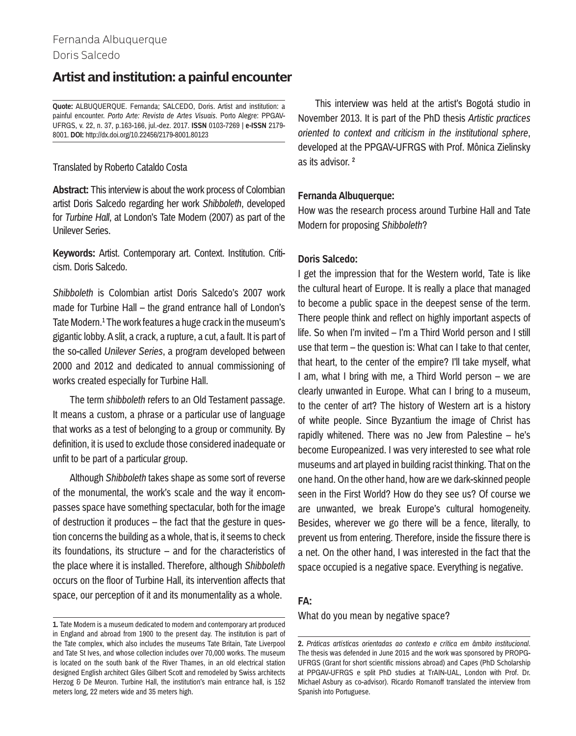# Fernanda Albuquerque Doris Salcedo

# **Artist and institution: a painful encounter**

**Quote:** ALBUQUERQUE. Fernanda; SALCEDO, Doris. Artist and institution: a painful encounter. *Porto Arte: Revista de Artes Visuais*. Porto Alegre: PPGAV-UFRGS, v. 22, n. 37, p.163-166, jul.-dez. 2017. **ISSN** 0103-7269 | **e-ISSN** 2179- 8001. **DOI:** http://dx.doi.org/10.22456/2179-8001.80123

## Translated by Roberto Cataldo Costa

**Abstract:** This interview is about the work process of Colombian artist Doris Salcedo regarding her work *Shibboleth*, developed for *Turbine Hall*, at London's Tate Modern (2007) as part of the Unilever Series.

**Keywords:** Artist. Contemporary art. Context. Institution. Criticism. Doris Salcedo.

*Shibboleth* is Colombian artist Doris Salcedo's 2007 work made for Turbine Hall – the grand entrance hall of London's Tate Modern.<sup>1</sup> The work features a huge crack in the museum's gigantic lobby. A slit, a crack, a rupture, a cut, a fault. It is part of the so-called *Unilever Series*, a program developed between 2000 and 2012 and dedicated to annual commissioning of works created especially for Turbine Hall.

The term *shibboleth* refers to an Old Testament passage. It means a custom, a phrase or a particular use of language that works as a test of belonging to a group or community. By definition, it is used to exclude those considered inadequate or unfit to be part of a particular group.

Although *Shibboleth* takes shape as some sort of reverse of the monumental, the work's scale and the way it encompasses space have something spectacular, both for the image of destruction it produces – the fact that the gesture in question concerns the building as a whole, that is, it seems to check its foundations, its structure – and for the characteristics of the place where it is installed. Therefore, although *Shibboleth* occurs on the floor of Turbine Hall, its intervention affects that space, our perception of it and its monumentality as a whole.

This interview was held at the artist's Bogotá studio in November 2013. It is part of the PhD thesis *Artistic practices oriented to context and criticism in the institutional sphere*, developed at the PPGAV-UFRGS with Prof. Mônica Zielinsky as its advisor. 2

## **Fernanda Albuquerque:**

How was the research process around Turbine Hall and Tate Modern for proposing *Shibboleth*?

# **Doris Salcedo:**

I get the impression that for the Western world, Tate is like the cultural heart of Europe. It is really a place that managed to become a public space in the deepest sense of the term. There people think and reflect on highly important aspects of life. So when I'm invited – I'm a Third World person and I still use that term – the question is: What can I take to that center, that heart, to the center of the empire? I'll take myself, what I am, what I bring with me, a Third World person – we are clearly unwanted in Europe. What can I bring to a museum, to the center of art? The history of Western art is a history of white people. Since Byzantium the image of Christ has rapidly whitened. There was no Jew from Palestine – he's become Europeanized. I was very interested to see what role museums and art played in building racist thinking. That on the one hand. On the other hand, how are we dark-skinned people seen in the First World? How do they see us? Of course we are unwanted, we break Europe's cultural homogeneity. Besides, wherever we go there will be a fence, literally, to prevent us from entering. Therefore, inside the fissure there is a net. On the other hand, I was interested in the fact that the space occupied is a negative space. Everything is negative.

# **FA:**

What do you mean by negative space?

**<sup>1.</sup>** Tate Modern is a museum dedicated to modern and contemporary art produced in England and abroad from 1900 to the present day. The institution is part of the Tate complex, which also includes the museums Tate Britain, Tate Liverpool and Tate St Ives, and whose collection includes over 70,000 works. The museum is located on the south bank of the River Thames, in an old electrical station designed English architect Giles Gilbert Scott and remodeled by Swiss architects Herzog & De Meuron. Turbine Hall, the institution's main entrance hall, is 152 meters long, 22 meters wide and 35 meters high.

**<sup>2.</sup>** *Práticas artísticas orientadas ao contexto e crítica em âmbito institucional*. The thesis was defended in June 2015 and the work was sponsored by PROPG-UFRGS (Grant for short scientific missions abroad) and Capes (PhD Scholarship at PPGAV-UFRGS e split PhD studies at TrAIN-UAL, London with Prof. Dr. Michael Asbury as co-advisor). Ricardo Romanoff translated the interview from Spanish into Portuguese.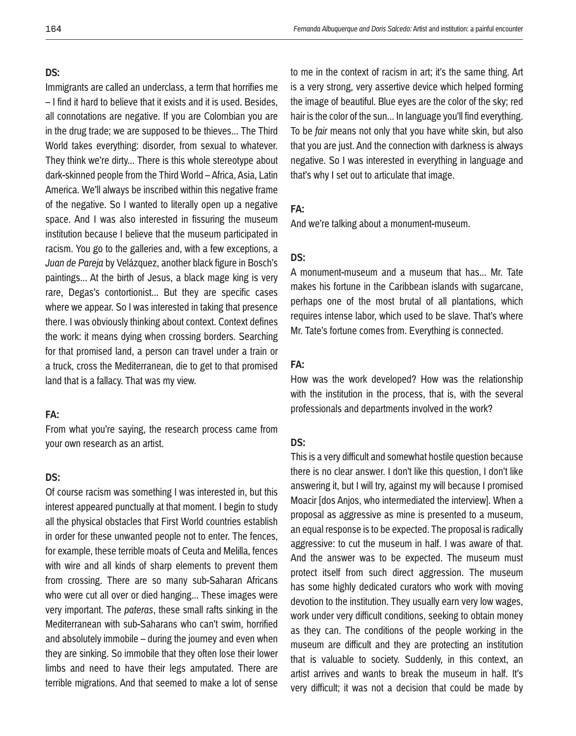#### **DS:**

Immigrants are called an underclass, a term that horrifies me – I find it hard to believe that it exists and it is used. Besides, all connotations are negative. If you are Colombian you are in the drug trade; we are supposed to be thieves... The Third World takes everything: disorder, from sexual to whatever. They think we're dirty... There is this whole stereotype about dark-skinned people from the Third World – Africa, Asia, Latin America. We'll always be inscribed within this negative frame of the negative. So I wanted to literally open up a negative space. And I was also interested in fissuring the museum institution because I believe that the museum participated in racism. You go to the galleries and, with a few exceptions, a *Juan de Pareja* by Velázquez, another black figure in Bosch's paintings... At the birth of Jesus, a black mage king is very rare, Degas's contortionist... But they are specific cases where we appear. So I was interested in taking that presence there. I was obviously thinking about context. Context defines the work: it means dying when crossing borders. Searching for that promised land, a person can travel under a train or a truck, cross the Mediterranean, die to get to that promised land that is a fallacy. That was my view.

# **FA:**

From what you're saying, the research process came from your own research as an artist.

# **DS:**

Of course racism was something I was interested in, but this interest appeared punctually at that moment. I begin to study all the physical obstacles that First World countries establish in order for these unwanted people not to enter. The fences, for example, these terrible moats of Ceuta and Melilla, fences with wire and all kinds of sharp elements to prevent them from crossing. There are so many sub-Saharan Africans who were cut all over or died hanging... These images were very important. The *pateras*, these small rafts sinking in the Mediterranean with sub-Saharans who can't swim, horrified and absolutely immobile – during the journey and even when they are sinking. So immobile that they often lose their lower limbs and need to have their legs amputated. There are terrible migrations. And that seemed to make a lot of sense

to me in the context of racism in art; it's the same thing. Art is a very strong, very assertive device which helped forming the image of beautiful. Blue eyes are the color of the sky; red hair is the color of the sun... In language you'll find everything. To be *fair* means not only that you have white skin, but also that you are just. And the connection with darkness is always negative. So I was interested in everything in language and that's why I set out to articulate that image.

## **FA:**

And we're talking about a monument-museum.

# **DS:**

A monument-museum and a museum that has... Mr. Tate makes his fortune in the Caribbean islands with sugarcane, perhaps one of the most brutal of all plantations, which requires intense labor, which used to be slave. That's where Mr. Tate's fortune comes from. Everything is connected.

# **FA:**

How was the work developed? How was the relationship with the institution in the process, that is, with the several professionals and departments involved in the work?

#### **DS:**

This is a very difficult and somewhat hostile question because there is no clear answer. I don't like this question, I don't like answering it, but I will try, against my will because I promised Moacir [dos Anjos, who intermediated the interview]. When a proposal as aggressive as mine is presented to a museum, an equal response is to be expected. The proposal is radically aggressive: to cut the museum in half. I was aware of that. And the answer was to be expected. The museum must protect itself from such direct aggression. The museum has some highly dedicated curators who work with moving devotion to the institution. They usually earn very low wages, work under very difficult conditions, seeking to obtain money as they can. The conditions of the people working in the museum are difficult and they are protecting an institution that is valuable to society. Suddenly, in this context, an artist arrives and wants to break the museum in half. It's very difficult; it was not a decision that could be made by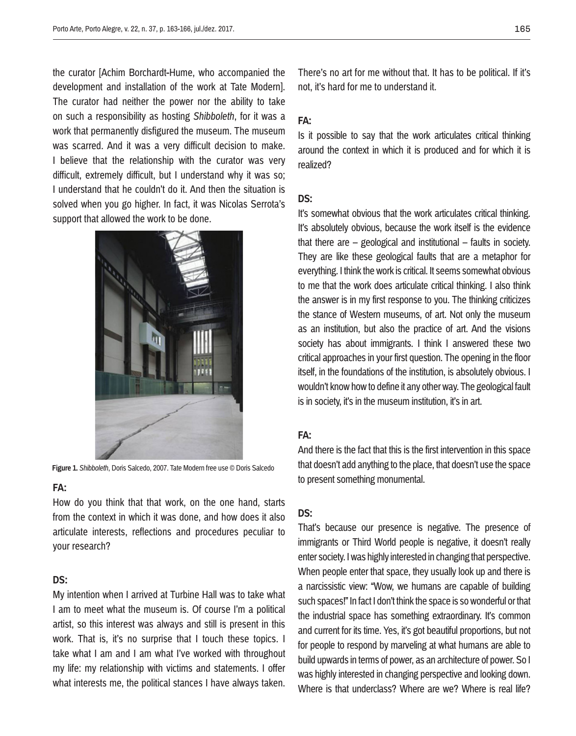the curator [Achim Borchardt-Hume, who accompanied the development and installation of the work at Tate Modern]. The curator had neither the power nor the ability to take on such a responsibility as hosting *Shibboleth*, for it was a work that permanently disfigured the museum. The museum was scarred. And it was a very difficult decision to make. I believe that the relationship with the curator was very difficult, extremely difficult, but I understand why it was so; I understand that he couldn't do it. And then the situation is solved when you go higher. In fact, it was Nicolas Serrota's support that allowed the work to be done.



**Figure 1.** *Shibboleth*, Doris Salcedo, 2007. Tate Modern free use © Doris Salcedo

#### **FA:**

How do you think that that work, on the one hand, starts from the context in which it was done, and how does it also articulate interests, reflections and procedures peculiar to your research?

# **DS:**

My intention when I arrived at Turbine Hall was to take what I am to meet what the museum is. Of course I'm a political artist, so this interest was always and still is present in this work. That is, it's no surprise that I touch these topics. I take what I am and I am what I've worked with throughout my life: my relationship with victims and statements. I offer what interests me, the political stances I have always taken. There's no art for me without that. It has to be political. If it's not, it's hard for me to understand it.

### **FA:**

Is it possible to say that the work articulates critical thinking around the context in which it is produced and for which it is realized?

## **DS:**

It's somewhat obvious that the work articulates critical thinking. It's absolutely obvious, because the work itself is the evidence that there are – geological and institutional – faults in society. They are like these geological faults that are a metaphor for everything. I think the work is critical. It seems somewhat obvious to me that the work does articulate critical thinking. I also think the answer is in my first response to you. The thinking criticizes the stance of Western museums, of art. Not only the museum as an institution, but also the practice of art. And the visions society has about immigrants. I think I answered these two critical approaches in your first question. The opening in the floor itself, in the foundations of the institution, is absolutely obvious. I wouldn't know how to define it any other way. The geological fault is in society, it's in the museum institution, it's in art.

#### **FA:**

And there is the fact that this is the first intervention in this space that doesn't add anything to the place, that doesn't use the space to present something monumental.

## **DS:**

That's because our presence is negative. The presence of immigrants or Third World people is negative, it doesn't really enter society. I was highly interested in changing that perspective. When people enter that space, they usually look up and there is a narcissistic view: "Wow, we humans are capable of building such spaces!" In fact I don't think the space is so wonderful or that the industrial space has something extraordinary. It's common and current for its time. Yes, it's got beautiful proportions, but not for people to respond by marveling at what humans are able to build upwards in terms of power, as an architecture of power. So I was highly interested in changing perspective and looking down. Where is that underclass? Where are we? Where is real life?